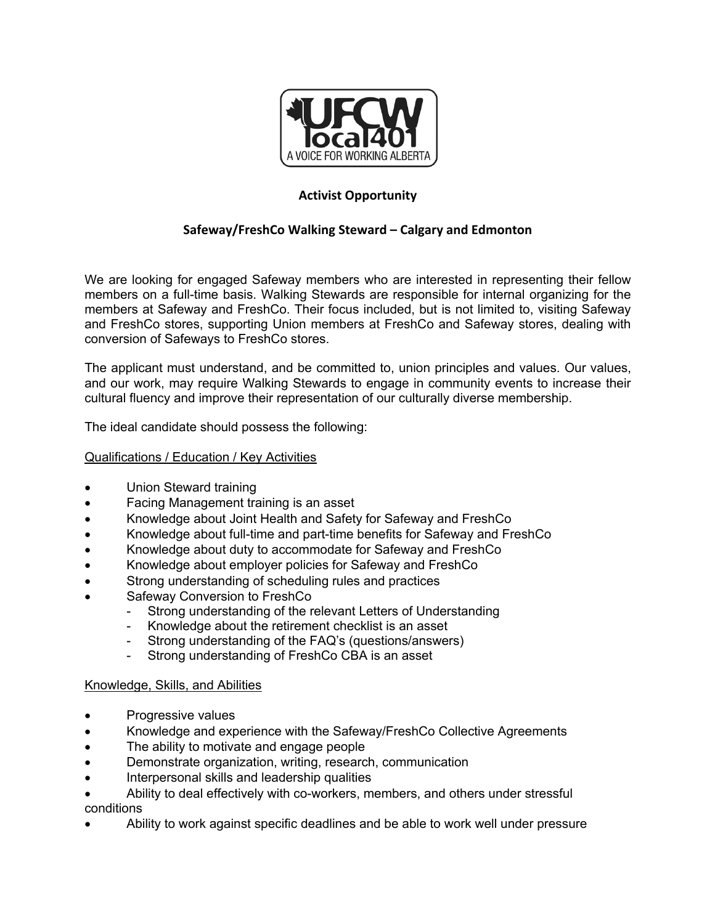

# **Activist Opportunity**

## **Safeway/FreshCo Walking Steward – Calgary and Edmonton**

We are looking for engaged Safeway members who are interested in representing their fellow members on a full-time basis. Walking Stewards are responsible for internal organizing for the members at Safeway and FreshCo. Their focus included, but is not limited to, visiting Safeway and FreshCo stores, supporting Union members at FreshCo and Safeway stores, dealing with conversion of Safeways to FreshCo stores.

The applicant must understand, and be committed to, union principles and values. Our values, and our work, may require Walking Stewards to engage in community events to increase their cultural fluency and improve their representation of our culturally diverse membership.

The ideal candidate should possess the following:

### Qualifications / Education / Key Activities

- Union Steward training
- Facing Management training is an asset
- Knowledge about Joint Health and Safety for Safeway and FreshCo
- Knowledge about full-time and part-time benefits for Safeway and FreshCo
- Knowledge about duty to accommodate for Safeway and FreshCo
- Knowledge about employer policies for Safeway and FreshCo
- Strong understanding of scheduling rules and practices
- Safeway Conversion to FreshCo
	- Strong understanding of the relevant Letters of Understanding
	- Knowledge about the retirement checklist is an asset
	- Strong understanding of the FAQ's (questions/answers)
	- Strong understanding of FreshCo CBA is an asset

#### Knowledge, Skills, and Abilities

- Progressive values
- Knowledge and experience with the Safeway/FreshCo Collective Agreements
- The ability to motivate and engage people
- Demonstrate organization, writing, research, communication
- Interpersonal skills and leadership qualities
- Ability to deal effectively with co-workers, members, and others under stressful conditions
- Ability to work against specific deadlines and be able to work well under pressure